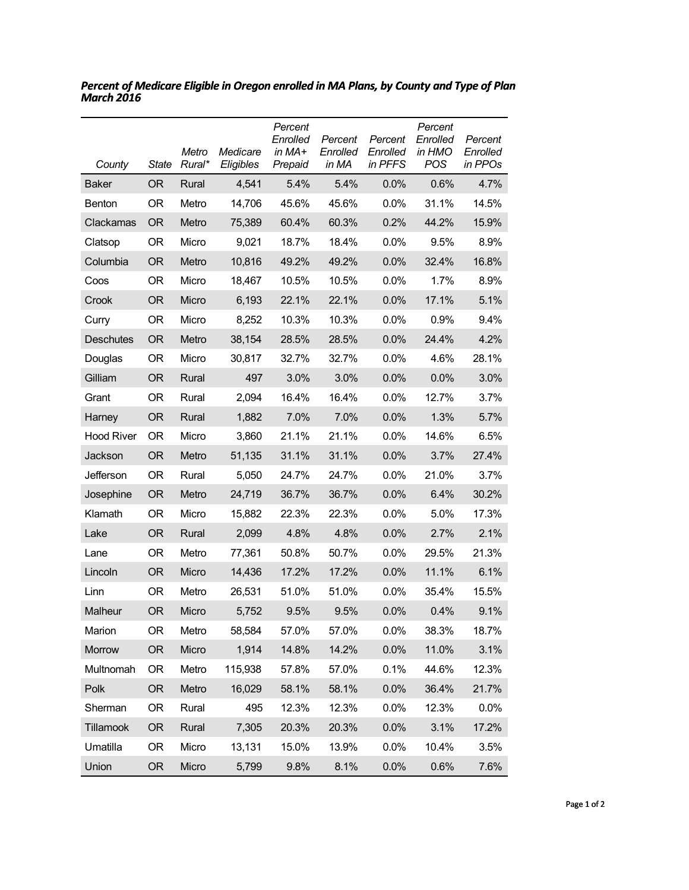| County            | State     | Metro<br>Rural* | Medicare<br>Eligibles | Percent<br>Enrolled<br>in MA+<br>Prepaid | Percent<br>Enrolled<br>in MA | Percent<br>Enrolled<br>in PFFS | Percent<br>Enrolled<br>in HMO<br><b>POS</b> | Percent<br>Enrolled<br>in PPOs |
|-------------------|-----------|-----------------|-----------------------|------------------------------------------|------------------------------|--------------------------------|---------------------------------------------|--------------------------------|
| <b>Baker</b>      | <b>OR</b> | Rural           | 4,541                 | 5.4%                                     | 5.4%                         | 0.0%                           | 0.6%                                        | 4.7%                           |
| Benton            | <b>OR</b> | Metro           | 14,706                | 45.6%                                    | 45.6%                        | 0.0%                           | 31.1%                                       | 14.5%                          |
| Clackamas         | <b>OR</b> | Metro           | 75,389                | 60.4%                                    | 60.3%                        | 0.2%                           | 44.2%                                       | 15.9%                          |
| Clatsop           | <b>OR</b> | Micro           | 9,021                 | 18.7%                                    | 18.4%                        | 0.0%                           | 9.5%                                        | 8.9%                           |
| Columbia          | <b>OR</b> | Metro           | 10,816                | 49.2%                                    | 49.2%                        | 0.0%                           | 32.4%                                       | 16.8%                          |
| Coos              | 0R        | Micro           | 18,467                | 10.5%                                    | 10.5%                        | 0.0%                           | 1.7%                                        | 8.9%                           |
| Crook             | <b>OR</b> | Micro           | 6,193                 | 22.1%                                    | 22.1%                        | 0.0%                           | 17.1%                                       | 5.1%                           |
| Curry             | 0R        | Micro           | 8,252                 | 10.3%                                    | 10.3%                        | $0.0\%$                        | 0.9%                                        | 9.4%                           |
| <b>Deschutes</b>  | <b>OR</b> | Metro           | 38,154                | 28.5%                                    | 28.5%                        | 0.0%                           | 24.4%                                       | 4.2%                           |
| Douglas           | 0R        | Micro           | 30,817                | 32.7%                                    | 32.7%                        | $0.0\%$                        | 4.6%                                        | 28.1%                          |
| Gilliam           | <b>OR</b> | Rural           | 497                   | 3.0%                                     | 3.0%                         | 0.0%                           | 0.0%                                        | 3.0%                           |
| Grant             | <b>OR</b> | Rural           | 2,094                 | 16.4%                                    | 16.4%                        | 0.0%                           | 12.7%                                       | 3.7%                           |
| Harney            | <b>OR</b> | Rural           | 1,882                 | 7.0%                                     | 7.0%                         | 0.0%                           | 1.3%                                        | 5.7%                           |
| <b>Hood River</b> | <b>OR</b> | Micro           | 3,860                 | 21.1%                                    | 21.1%                        | 0.0%                           | 14.6%                                       | 6.5%                           |
| Jackson           | <b>OR</b> | Metro           | 51,135                | 31.1%                                    | 31.1%                        | 0.0%                           | 3.7%                                        | 27.4%                          |
| Jefferson         | <b>OR</b> | Rural           | 5,050                 | 24.7%                                    | 24.7%                        | 0.0%                           | 21.0%                                       | 3.7%                           |
| Josephine         | <b>OR</b> | Metro           | 24,719                | 36.7%                                    | 36.7%                        | 0.0%                           | 6.4%                                        | 30.2%                          |
| Klamath           | <b>OR</b> | Micro           | 15,882                | 22.3%                                    | 22.3%                        | $0.0\%$                        | 5.0%                                        | 17.3%                          |
| Lake              | <b>OR</b> | Rural           | 2,099                 | 4.8%                                     | 4.8%                         | 0.0%                           | 2.7%                                        | 2.1%                           |
| Lane              | <b>OR</b> | Metro           | 77,361                | 50.8%                                    | 50.7%                        | 0.0%                           | 29.5%                                       | 21.3%                          |
| Lincoln           | <b>OR</b> | Micro           | 14,436                | 17.2%                                    | 17.2%                        | 0.0%                           | 11.1%                                       | 6.1%                           |
| Linn              | OR        | Metro           | 26,531                | 51.0%                                    | 51.0%                        | 0.0%                           | 35.4%                                       | 15.5%                          |
| Malheur           | <b>OR</b> | Micro           | 5,752                 | 9.5%                                     | 9.5%                         | 0.0%                           | 0.4%                                        | 9.1%                           |
| Marion            | <b>OR</b> | Metro           | 58,584                | 57.0%                                    | 57.0%                        | 0.0%                           | 38.3%                                       | 18.7%                          |
| Morrow            | <b>OR</b> | Micro           | 1,914                 | 14.8%                                    | 14.2%                        | 0.0%                           | 11.0%                                       | 3.1%                           |
| Multnomah         | <b>OR</b> | Metro           | 115,938               | 57.8%                                    | 57.0%                        | 0.1%                           | 44.6%                                       | 12.3%                          |
| Polk              | <b>OR</b> | Metro           | 16,029                | 58.1%                                    | 58.1%                        | 0.0%                           | 36.4%                                       | 21.7%                          |
| Sherman           | <b>OR</b> | Rural           | 495                   | 12.3%                                    | 12.3%                        | 0.0%                           | 12.3%                                       | 0.0%                           |
| Tillamook         | <b>OR</b> | Rural           | 7,305                 | 20.3%                                    | 20.3%                        | 0.0%                           | 3.1%                                        | 17.2%                          |
| Umatilla          | 0R        | Micro           | 13,131                | 15.0%                                    | 13.9%                        | 0.0%                           | 10.4%                                       | 3.5%                           |
| Union             | <b>OR</b> | Micro           | 5,799                 | 9.8%                                     | 8.1%                         | 0.0%                           | 0.6%                                        | 7.6%                           |

*Percent of Medicare Eligible in Oregon enrolled in MA Plans, by County and Type of Plan March 2016*